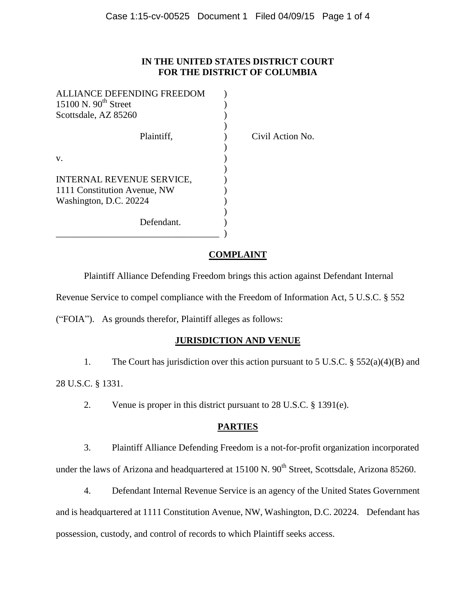#### **IN THE UNITED STATES DISTRICT COURT FOR THE DISTRICT OF COLUMBIA**

| <b>ALLIANCE DEFENDING FREEDOM</b> |  |
|-----------------------------------|--|
| 15100 N. $90th$ Street            |  |
| Scottsdale, AZ 85260              |  |
|                                   |  |
| Plaintiff.                        |  |
|                                   |  |
| V.                                |  |
|                                   |  |
| INTERNAL REVENUE SERVICE,         |  |
| 1111 Constitution Avenue, NW      |  |
| Washington, D.C. 20224            |  |
|                                   |  |
| Defendant.                        |  |
|                                   |  |

Yivil Action No.

### **COMPLAINT**

Plaintiff Alliance Defending Freedom brings this action against Defendant Internal

Revenue Service to compel compliance with the Freedom of Information Act, 5 U.S.C. § 552

("FOIA"). As grounds therefor, Plaintiff alleges as follows:

# **JURISDICTION AND VENUE**

1. The Court has jurisdiction over this action pursuant to 5 U.S.C. § 552(a)(4)(B) and 28 U.S.C. § 1331.

2. Venue is proper in this district pursuant to 28 U.S.C. § 1391(e).

# **PARTIES**

3. Plaintiff Alliance Defending Freedom is a not-for-profit organization incorporated under the laws of Arizona and headquartered at 15100 N. 90<sup>th</sup> Street, Scottsdale, Arizona 85260.

4. Defendant Internal Revenue Service is an agency of the United States Government and is headquartered at 1111 Constitution Avenue, NW, Washington, D.C. 20224. Defendant has possession, custody, and control of records to which Plaintiff seeks access.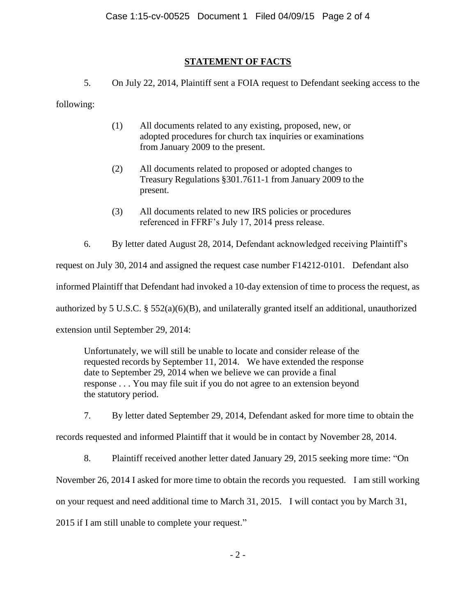## **STATEMENT OF FACTS**

5. On July 22, 2014, Plaintiff sent a FOIA request to Defendant seeking access to the

following:

- (1) All documents related to any existing, proposed, new, or adopted procedures for church tax inquiries or examinations from January 2009 to the present.
- (2) All documents related to proposed or adopted changes to Treasury Regulations §301.7611-1 from January 2009 to the present.
- (3) All documents related to new IRS policies or procedures referenced in FFRF's July 17, 2014 press release.
- 6. By letter dated August 28, 2014, Defendant acknowledged receiving Plaintiff's

request on July 30, 2014 and assigned the request case number F14212-0101. Defendant also informed Plaintiff that Defendant had invoked a 10-day extension of time to process the request, as authorized by 5 U.S.C.  $\S 552(a)(6)(B)$ , and unilaterally granted itself an additional, unauthorized extension until September 29, 2014:

Unfortunately, we will still be unable to locate and consider release of the requested records by September 11, 2014. We have extended the response date to September 29, 2014 when we believe we can provide a final response . . . You may file suit if you do not agree to an extension beyond the statutory period.

7. By letter dated September 29, 2014, Defendant asked for more time to obtain the

records requested and informed Plaintiff that it would be in contact by November 28, 2014.

8. Plaintiff received another letter dated January 29, 2015 seeking more time: "On

November 26, 2014 I asked for more time to obtain the records you requested. I am still working

on your request and need additional time to March 31, 2015. I will contact you by March 31,

2015 if I am still unable to complete your request."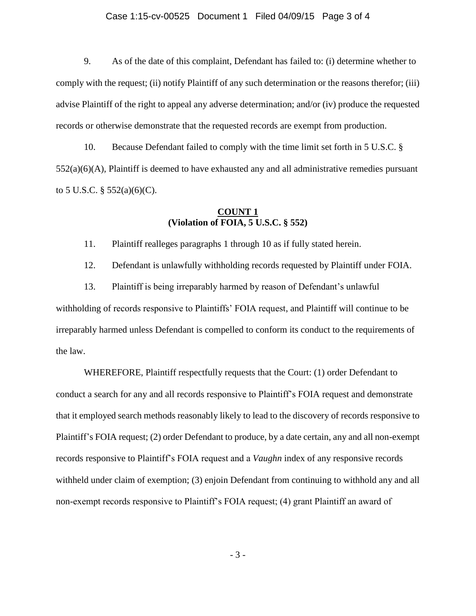#### Case 1:15-cv-00525 Document 1 Filed 04/09/15 Page 3 of 4

9. As of the date of this complaint, Defendant has failed to: (i) determine whether to comply with the request; (ii) notify Plaintiff of any such determination or the reasons therefor; (iii) advise Plaintiff of the right to appeal any adverse determination; and/or (iv) produce the requested records or otherwise demonstrate that the requested records are exempt from production.

10. Because Defendant failed to comply with the time limit set forth in 5 U.S.C. §  $552(a)(6)(A)$ , Plaintiff is deemed to have exhausted any and all administrative remedies pursuant to 5 U.S.C.  $\S$  552(a)(6)(C).

#### **COUNT 1 (Violation of FOIA, 5 U.S.C. § 552)**

11. Plaintiff realleges paragraphs 1 through 10 as if fully stated herein.

12. Defendant is unlawfully withholding records requested by Plaintiff under FOIA.

13. Plaintiff is being irreparably harmed by reason of Defendant's unlawful withholding of records responsive to Plaintiffs' FOIA request, and Plaintiff will continue to be irreparably harmed unless Defendant is compelled to conform its conduct to the requirements of the law.

WHEREFORE, Plaintiff respectfully requests that the Court: (1) order Defendant to conduct a search for any and all records responsive to Plaintiff's FOIA request and demonstrate that it employed search methods reasonably likely to lead to the discovery of records responsive to Plaintiff's FOIA request; (2) order Defendant to produce, by a date certain, any and all non-exempt records responsive to Plaintiff's FOIA request and a *Vaughn* index of any responsive records withheld under claim of exemption; (3) enjoin Defendant from continuing to withhold any and all non-exempt records responsive to Plaintiff's FOIA request; (4) grant Plaintiff an award of

- 3 -